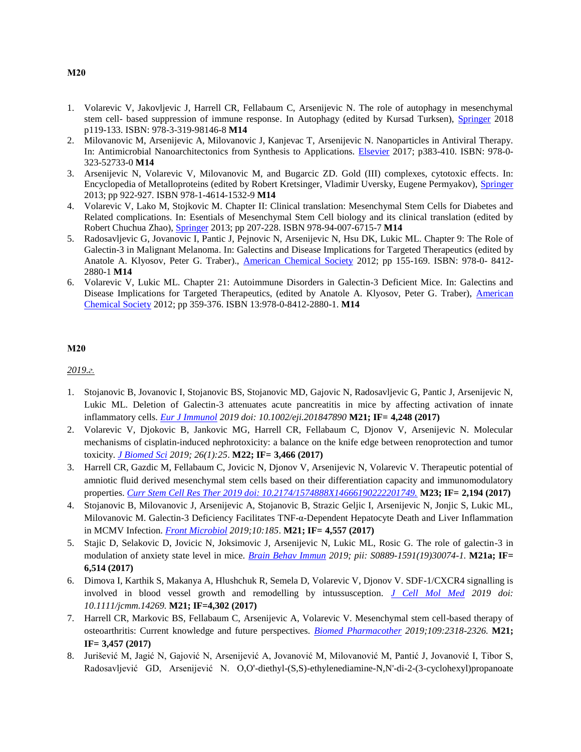- 1. Volarevic V, Jakovljevic J, Harrell CR, Fellabaum C, Arsenijevic N. The role of autophagy in mesenchymal stem cell- based suppression of immune response. In Autophagy (edited by Kursad Turksen), [Springer](file:///C:/Users/Nebojsa/Downloads/M10/1.pdf) 2018 p119-133. ISBN: 978-3-319-98146-8 **M14**
- 2. Milovanovic M, Arsenijevic A, Milovanovic J, Kanjevac T, Arsenijevic N. Nanoparticles in Antiviral Therapy. In: Antimicrobial Nanoarchitectonics from Synthesis to Applications. [Elsevier](file:///C:/Users/Nebojsa/Downloads/M10/2.pdf) 2017; p383-410. ISBN: 978-0- 323-52733-0 **M14**
- 3. Arsenijevic N, Volarevic V, Milovanovic M, and Bugarcic ZD. Gold (III) complexes, cytotoxic effects. In: Encyclopedia of Metalloproteins (edited by Robert Kretsinger, Vladimir Uversky, Eugene Permyakov), [Springer](file:///C:/Users/Nebojsa/Downloads/M10/2.pdf) 2013; pp 922-927. ISBN 978-1-4614-1532-9 **M14**
- 4. Volarevic V, Lako M, Stojkovic M. Chapter II: Clinical translation: Mesenchymal Stem Cells for Diabetes and Related complications. In: Esentials of Mesenchymal Stem Cell biology and its clinical translation (edited by Robert Chuchua Zhao), [Springer](file:///C:/Users/Nebojsa/Downloads/M10/4.pdf) 2013; pp 207-228. ISBN 978-94-007-6715-7 **M14**
- 5. Radosavljevic G, Jovanovic I, Pantic J, Pejnovic N, Arsenijevic N, Hsu DK, Lukic ML. Chapter 9: The Role of Galectin-3 in Malignant Melanoma. In: Galectins and Disease Implications for Targeted Therapeutics (edited by Anatole A. Klyosov, Peter G. Traber)., [American Chemical Society](file:///C:/Users/Nebojsa/Downloads/M10/3.pdf) 2012; pp 155-169. ISBN: 978-0- 8412- 2880-1 **M14**
- 6. Volarevic V, Lukic ML. Chapter 21: Autoimmune Disorders in Galectin-3 Deficient Mice. In: Galectins and Disease Implications for Targeted Therapeutics, (edited by Anatole A. Klyosov, Peter G. Traber), [American](file:///C:/Users/Nebojsa/Downloads/M10/6.pdf)  [Chemical Society](file:///C:/Users/Nebojsa/Downloads/M10/6.pdf) 2012; pp 359-376. ISBN 13:978-0-8412-2880-1. **M14**

### **М20**

*2019.г.*

- 1. Stojanovic B, Jovanovic I, Stojanovic BS, Stojanovic MD, Gajovic N, Radosavljevic G, Pantic J, Arsenijevic N, Lukic ML. Deletion of Galectin-3 attenuates acute pancreatitis in mice by affecting activation of innate inflammatory cells. *[Eur J Immunol](file:///C:/Users/Nebojsa/Downloads/M20/2019/1%20M21.pdf) 2019 doi: 10.1002/eji.201847890* **M21; IF= 4,248 (2017)**
- 2. Volarevic V, Djokovic B, Jankovic MG, Harrell CR, Fellabaum C, Djonov V, Arsenijevic N. Molecular mechanisms of cisplatin-induced nephrotoxicity: a balance on the knife edge between renoprotection and tumor toxicity. *[J Biomed Sci](file:///C:/Users/Nebojsa/Downloads/M20/2019/2%20M22.pdf) 2019; 26(1):25*. **M22; IF= 3,466 (2017)**
- 3. Harrell CR, Gazdic M, Fellabaum C, Jovicic N, Djonov V, Arsenijevic N, Volarevic V. Therapeutic potential of amniotic fluid derived mesenchymal stem cells based on their differentiation capacity and immunomodulatory properties. *[Curr Stem Cell Res Ther 2019 doi: 10.2174/1574888X14666190222201749.](file:///C:/Users/Nebojsa/Downloads/M20/2019/3%20M21.pdf)* **M23; IF= 2,194 (2017)**
- 4. Stojanovic B, Milovanovic J, Arsenijevic A, Stojanovic B, Strazic Geljic I, Arsenijevic N, Jonjic S, Lukic ML, Milovanovic M. Galectin-3 Deficiency Facilitates TNF-α-Dependent Hepatocyte Death and Liver Inflammation in MCMV Infection. *[Front Microbiol](file:///C:/Users/Nebojsa/Downloads/M20/2019/4%20M21.pdf) 2019;10:185*. **M21; IF= 4,557 (2017)**
- 5. Stajic D, Selakovic D, Jovicic N, Joksimovic J, Arsenijevic N, Lukic ML, Rosic G. The role of galectin-3 in modulation of anxiety state level in mice. *[Brain Behav Immun](file:///C:/Users/Nebojsa/Downloads/M20/2019/5%20M21.pdf) 2019; pii: S0889-1591(19)30074-1.* **M21a; IF= 6,514 (2017)**
- 6. Dimova I, Karthik S, Makanya A, Hlushchuk R, Semela D, Volarevic V, Djonov V. SDF-1/CXCR4 signalling is involved in blood vessel growth and remodelling by intussusception. *[J Cell Mol Med](file:///C:/Users/Nebojsa/Downloads/M20/2019/6%20M21.pdf) 2019 doi: 10.1111/jcmm.14269.* **M21; IF=4,302 (2017)**
- 7. Harrell CR, Markovic BS, Fellabaum C, Arsenijevic A, Volarevic V. Mesenchymal stem cell-based therapy of osteoarthritis: Current knowledge and future perspectives. *[Biomed Pharmacother](file:///C:/Users/Nebojsa/Downloads/M20/2019/7%20M21.pdf) 2019;109:2318-2326.* **M21; IF= 3,457 (2017)**
- 8. Jurišević M, Jagić N, Gajović N, Arsenijević A, Jovanović M, Milovanović M, Pantić J, Jovanović I, Tibor S, Radosavljević GD, Arsenijević N. O,O'-diethyl-(S,S)-ethylenediamine-N,N'-di-2-(3-cyclohexyl)propanoate

### **М20**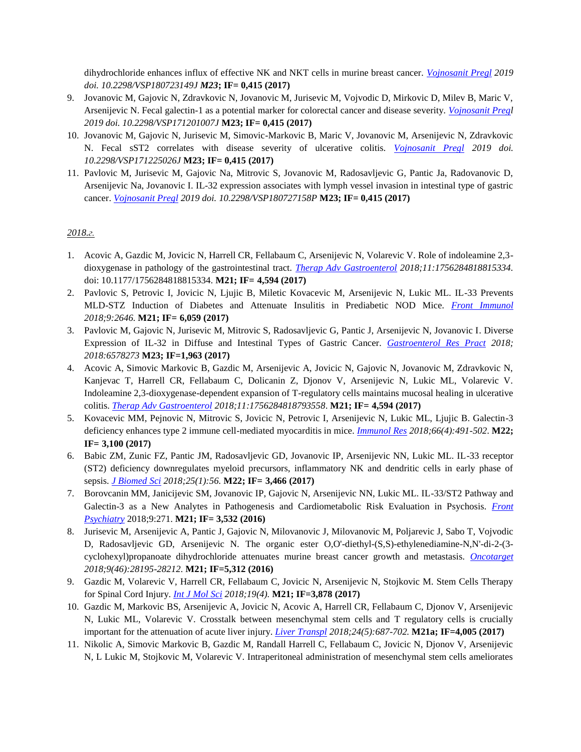dihydrochloride enhances influx of effective NK and NKT cells in murine breast cancer. *[Vojnosanit Pregl](file:///C:/Users/Nebojsa/Downloads/M20/2019/8%20M23.pdf) 2019 doi. 10.2298/VSP180723149J M23***; IF= 0,415 (2017)**

- 9. Jovanovic M, Gajovic N, Zdravkovic N, Jovanovic M, Jurisevic M, Vojvodic D, Mirkovic D, Milev B, Maric V, Arsenijevic N. Fecal galectin-1 as a potential marker for colorectal cancer and disease severity. *[Vojnosanit Pregl](file:///C:/Users/Nebojsa/Downloads/M20/2019/9%20M21.pdf) 2019 doi. 10.2298/VSP171201007J* **M23; IF= 0,415 (2017)**
- 10. Jovanovic M, Gajovic N, Jurisevic M, Simovic-Markovic B, Maric V, Jovanovic M, Arsenijevic N, Zdravkovic N. Fecal sST2 correlates with disease severity of ulcerative colitis. *[Vojnosanit Pregl](file:///C:/Users/Nebojsa/Downloads/M20/2019/10%20M23.pdf) 2019 doi. 10.2298/VSP171225026J* **M23; IF= 0,415 (2017)**
- 11. Pavlovic M, Jurisevic M, Gajovic Na, Mitrovic S, Jovanovic M, Radosavljevic G, Pantic Ja, Radovanovic D, Arsenijevic Na, Jovanovic I. IL-32 expression associates with lymph vessel invasion in intestinal type of gastric cancer. *[Vojnosanit Pregl](file:///C:/Users/Nebojsa/Downloads/M20/2019/11%20M23.pdf) 2019 doi. 10.2298/VSP180727158P* **M23; IF= 0,415 (2017)**

- 1. Acovic A, Gazdic M, Jovicic N, Harrell CR, Fellabaum C, Arsenijevic N, Volarevic V. Role of indoleamine 2,3 dioxygenase in pathology of the gastrointestinal tract. *[Therap Adv Gastroenterol](file:///C:/Users/Nebojsa/Downloads/M20/2018/1M21.pdf) 2018;11:1756284818815334.*  doi: 10.1177/1756284818815334. **M21; IF= 4,594 (2017)**
- 2. Pavlovic S, Petrovic I, Jovicic N, Ljujic B, Miletic Kovacevic M, Arsenijevic N, Lukic ML. IL-33 Prevents MLD-STZ Induction of Diabetes and Attenuate Insulitis in Prediabetic NOD Mice. *[Front Immunol](file:///C:/Users/Nebojsa/Downloads/M20/2018/2M21.pdf) 2018;9:2646.* **M21; IF= 6,059 (2017)**
- 3. Pavlovic M, Gajovic N, Jurisevic M, Mitrovic S, Radosavljevic G, Pantic J, Arsenijevic N, Jovanovic I. Diverse Expression of IL-32 in Diffuse and Intestinal Types of Gastric Cancer. *[Gastroenterol Res Pract](file:///C:/Users/Nebojsa/Downloads/M20/2018/3%20M23.pdf) 2018; 2018:6578273* **M23; IF=1,963 (2017)**
- 4. Acovic A, Simovic Markovic B, Gazdic M, Arsenijevic A, Jovicic N, Gajovic N, Jovanovic M, Zdravkovic N, Kanjevac T, Harrell CR, Fellabaum C, Dolicanin Z, Djonov V, Arsenijevic N, Lukic ML, Volarevic V. Indoleamine 2,3-dioxygenase-dependent expansion of T-regulatory cells maintains mucosal healing in ulcerative colitis. *[Therap Adv Gastroenterol](file:///C:/Users/Nebojsa/Downloads/M20/2018/4%20M21.pdf) 2018;11:1756284818793558*. **M21; IF= 4,594 (2017)**
- 5. Kovacevic MM, Pejnovic N, Mitrovic S, Jovicic N, Petrovic I, Arsenijevic N, Lukic ML, Ljujic B. Galectin-3 deficiency enhances type 2 immune cell-mediated myocarditis in mice. *[Immunol Res](file:///C:/Users/Nebojsa/Downloads/M20/2018/5%20M22.pdf) 2018;66(4):491-502*. **M22; IF= 3,100 (2017)**
- 6. Babic ZM, Zunic FZ, Pantic JM, Radosavljevic GD, Jovanovic IP, Arsenijevic NN, Lukic ML. IL-33 receptor (ST2) deficiency downregulates myeloid precursors, inflammatory NK and dendritic cells in early phase of sepsis. *[J Biomed Sci](file:///C:/Users/Nebojsa/Downloads/M20/2018/6%20M22.pdf) 2018;25(1):56.* **M22; IF= 3,466 (2017)**
- 7. Borovcanin MM, Janicijevic SM, Jovanovic IP, Gajovic N, Arsenijevic NN, Lukic ML. IL-33/ST2 Pathway and Galectin-3 as a New Analytes in Pathogenesis and Cardiometabolic Risk Evaluation in Psychosis*. [Front](file:///C:/Users/Nebojsa/Downloads/M20/2018/7%20M22.pdf)  [Psychiatry](file:///C:/Users/Nebojsa/Downloads/M20/2018/7%20M22.pdf)* 2018;9:271. **M21; IF= 3,532 (2016)**
- 8. Jurisevic M, Arsenijevic A, Pantic J, Gajovic N, Milovanovic J, Milovanovic M, Poljarevic J, Sabo T, Vojvodic D, Radosavljevic GD, Arsenijevic N. The organic ester O,O'-diethyl-(S,S)-ethylenediamine-N,N'-di-2-(3 cyclohexyl)propanoate dihydrochloride attenuates murine breast cancer growth and metastasis. *[Oncotarget](file:///C:/Users/Nebojsa/Downloads/M20/2018/8%20M21.pdf) 2018;9(46):28195-28212.* **M21; IF=5,312 (2016)**
- 9. Gazdic M, Volarevic V, Harrell CR, Fellabaum C, Jovicic N, Arsenijevic N, Stojkovic M. Stem Cells Therapy for Spinal Cord Injury. *[Int J Mol Sci](file:///C:/Users/Nebojsa/Downloads/M20/2018/9%20M21.pdf) 2018;19(4).* **M21; IF=3,878 (2017)**
- 10. Gazdic M, Markovic BS, Arsenijevic A, Jovicic N, Acovic A, Harrell CR, Fellabaum C, Djonov V, Arsenijevic N, Lukic ML, Volarevic V. Crosstalk between mesenchymal stem cells and T regulatory cells is crucially important for the attenuation of acute liver injury. *[Liver Transpl](file:///C:/Users/Nebojsa/Downloads/M20/2018/10M21.pdf) 2018;24(5):687-702.* **M21a; IF=4,005 (2017)**
- 11. Nikolic A, Simovic Markovic B, Gazdic M, Randall Harrell C, Fellabaum C, Jovicic N, Djonov V, Arsenijevic N, L Lukic M, Stojkovic M, Volarevic V. Intraperitoneal administration of mesenchymal stem cells ameliorates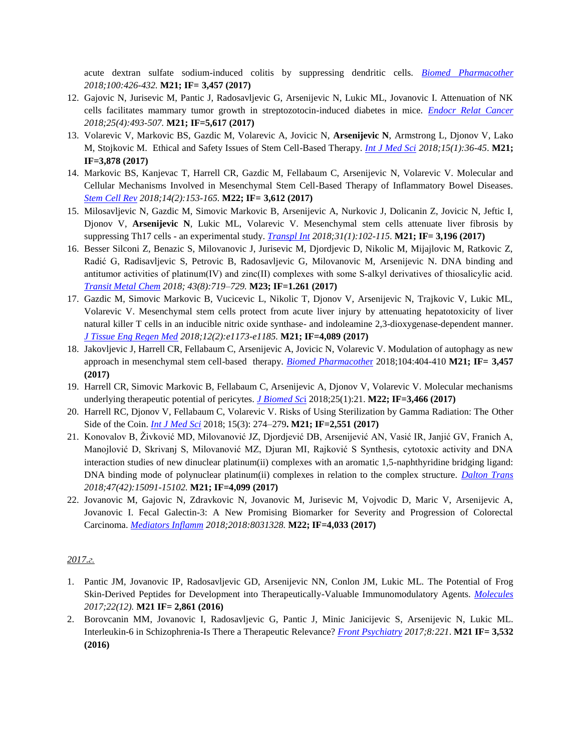acute dextran sulfate sodium-induced colitis by suppressing dendritic cells. *[Biomed Pharmacother](file:///C:/Users/Nebojsa/Downloads/M20/2018/11%20M21.pdf) 2018;100:426-432.* **M21; IF= 3,457 (2017)**

- 12. Gajovic N, Jurisevic M, Pantic J, Radosavljevic G, Arsenijevic N, Lukic ML, Jovanovic I. Attenuation of NK cells facilitates mammary tumor growth in streptozotocin-induced diabetes in mice. *[Endocr Relat Cancer](file:///C:/Users/Nebojsa/Downloads/M20/2018/12%20M21.pdf) 2018;25(4):493-507.* **M21; IF=5,617 (2017)**
- 13. Volarevic V, Markovic BS, Gazdic M, Volarevic A, Jovicic N, **Arsenijevic N**, Armstrong L, Djonov V, Lako M, Stojkovic M. Ethical and Safety Issues of Stem Cell-Based Therapy. *[Int J Med Sci](file:///C:/Users/Nebojsa/Downloads/M20/2018/13%20M21.pdf) 2018;15(1):36-45*. **M21; IF=3,878 (2017)**
- 14. Markovic BS, Kanjevac T, Harrell CR, Gazdic M, Fellabaum C, Arsenijevic N, Volarevic V. Molecular and Cellular Mechanisms Involved in Mesenchymal Stem Cell-Based Therapy of Inflammatory Bowel Diseases. *[Stem Cell Rev](file:///C:/Users/Nebojsa/Downloads/M20/2018/14M22.pdf) 2018;14(2):153-165.* **M22; IF= 3,612 (2017)**
- 15. Milosavljevic N, Gazdic M, Simovic Markovic B, Arsenijevic A, Nurkovic J, Dolicanin Z, Jovicic N, Jeftic I, Djonov V, **Arsenijevic N**, Lukic ML, Volarevic V. Mesenchymal stem cells attenuate liver fibrosis by suppressing Th17 cells - an experimental study. *[Transpl Int](file:///C:/Users/Nebojsa/Downloads/M20/2018/15%20M21.pdf) 2018;31(1):102-115.* **M21; IF= 3,196 (2017)**
- 16. Besser Silconi Z, Benazic S, Milovanovic J, Jurisevic M, Djordjevic D, Nikolic M, Mijajlovic M, Ratkovic Z, Radić G, Radisavljevic S, Petrovic B, Radosavljevic G, Milovanovic M, Arsenijevic N. DNA binding and antitumor activities of platinum(IV) and zinc(II) complexes with some S‑alkyl derivatives of thiosalicylic acid. *[Transit Metal Chem](file:///C:/Users/Nebojsa/Downloads/M20/2018/16%20M23.pdf) 2018; 43(8):719–729.* **M23; IF=1.261 (2017)**
- 17. Gazdic M, Simovic Markovic B, Vucicevic L, Nikolic T, Djonov V, Arsenijevic N, Trajkovic V, Lukic ML, Volarevic V. Mesenchymal stem cells protect from acute liver injury by attenuating hepatotoxicity of liver natural killer T cells in an inducible nitric oxide synthase- and indoleamine 2,3-dioxygenase-dependent manner. *[J Tissue Eng Regen Med](file:///C:/Users/Nebojsa/Downloads/M20/2018/17%20M21.pdf) 2018;12(2):e1173-e1185.* **M21; IF=4,089 (2017)**
- 18. Jakovljevic J, Harrell CR, Fellabaum C, Arsenijevic A, Jovicic N, Volarevic V. Modulation of autophagy as new approach in mesenchymal stem cell-based therapy. *[Biomed Pharmacothe](file:///C:/Users/Nebojsa/Downloads/M20/2018/18%20M21.pdf)*r 2018;104:404-410 **M21; IF= 3,457 (2017)**
- 19. Harrell CR, Simovic Markovic B, Fellabaum C, Arsenijevic A, Djonov V, Volarevic V. Molecular mechanisms underlying therapeutic potential of pericytes. *[J Biomed Sc](file:///C:/Users/Nebojsa/Downloads/M20/2018/19%20M22.pdf)*i 2018;25(1):21. **M22; IF=3,466 (2017)**
- 20. Harrell RC, Djonov V, Fellabaum C, Volarevic V. Risks of Using Sterilization by Gamma Radiation: The Other Side of the Coin. *[Int J Med Sci](file:///C:/Users/Nebojsa/Downloads/M20/2018/20%20M22.pdf)* 2018; 15(3): 274–279**. M21; IF=2,551 (2017)**
- 21. Konovalov B, Živković MD, Milovanović JZ, Djordjević DB, Arsenijević AN, Vasić IR, Janjić GV, Franich A, Manojlović D, Skrivanj S, Milovanović MZ, Djuran MI, Rajković S Synthesis, cytotoxic activity and DNA interaction studies of new dinuclear platinum(ii) complexes with an aromatic 1,5-naphthyridine bridging ligand: DNA binding mode of polynuclear platinum(ii) complexes in relation to the complex structure. *[Dalton Trans](file:///C:/Users/Nebojsa/Downloads/M20/2018/21%20M21.pdf) 2018;47(42):15091-15102.* **M21; IF=4,099 (2017)**
- 22. Jovanovic M, Gajovic N, Zdravkovic N, Jovanovic M, Jurisevic M, Vojvodic D, Maric V, Arsenijevic A, Jovanovic I. Fecal Galectin-3: A New Promising Biomarker for Severity and Progression of Colorectal Carcinoma. *[Mediators Inflamm](file:///C:/Users/Nebojsa/Downloads/M20/2018/22%20M22.pdf) 2018;2018:8031328.* **M22; IF=4,033 (2017)**

- 1. Pantic JM, Jovanovic IP, Radosavljevic GD, Arsenijevic NN, Conlon JM, Lukic ML. The Potential of Frog Skin-Derived Peptides for Development into Therapeutically-Valuable Immunomodulatory Agents. *[Molecules](file:///C:/Users/Nebojsa/Downloads/M20/2017/1%20M21.pdf) 2017;22(12).* **M21 IF= 2,861 (2016)**
- 2. Borovcanin MM, Jovanovic I, Radosavljevic G, Pantic J, Minic Janicijevic S, Arsenijevic N, Lukic ML. Interleukin-6 in Schizophrenia-Is There a Therapeutic Relevance? *[Front Psychiatry](file:///C:/Users/Nebojsa/Downloads/M20/2017/2%20M21.pdf) 2017;8:221*. **M21 IF= 3,532 (2016)**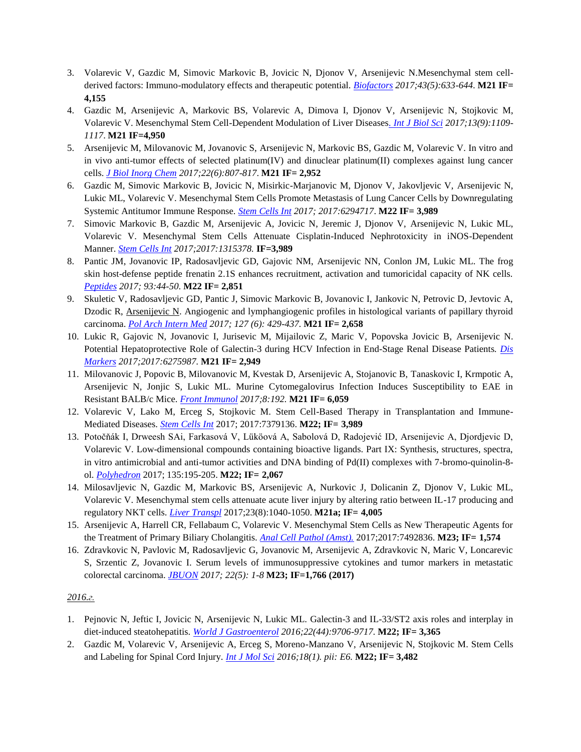- 3. Volarevic V, Gazdic M, Simovic Markovic B, Jovicic N, Djonov V, Arsenijevic N.Mesenchymal stem cellderived factors: Immuno-modulatory effects and therapeutic potential. *[Biofactors](file:///C:/Users/Nebojsa/Downloads/M20/2017/3%20M21.pdf) 2017;43(5):633-644.* **M21 IF= 4,155**
- 4. Gazdic M, Arsenijevic A, Markovic BS, Volarevic A, Dimova I, Djonov V, Arsenijevic N, Stojkovic M, Volarevic V. Mesenchymal Stem Cell-Dependent Modulation of Liver Diseases*[. Int J Biol Sci](file:///C:/Users/Nebojsa/Downloads/M20/2017/4%20M21.pdf) 2017;13(9):1109- 1117*. **M21 IF=4,950**
- 5. Arsenijevic M, Milovanovic M, Jovanovic S, Arsenijevic N, Markovic BS, Gazdic M, Volarevic V. In vitro and in vivo anti-tumor effects of selected platinum(IV) and dinuclear platinum(II) complexes against lung cancer cells. *[J Biol Inorg Chem](file:///C:/Users/Nebojsa/Downloads/M20/2017/5%20M21.pdf) 2017;22(6):807-817*. **M21 IF= 2,952**
- 6. Gazdic M, Simovic Markovic B, Jovicic N, Misirkic-Marjanovic M, Djonov V, Jakovljevic V, Arsenijevic N, Lukic ML, Volarevic V. Mesenchymal Stem Cells Promote Metastasis of Lung Cancer Cells by Downregulating Systemic Antitumor Immune Response. *[Stem Cells Int](file:///C:/Users/Nebojsa/Downloads/M20/2017/6%20M22.pdf) 2017; 2017:6294717*. **M22 IF= 3,989**
- 7. Simovic Markovic B, Gazdic M, Arsenijevic A, Jovicic N, Jeremic J, Djonov V, Arsenijevic N, Lukic ML, Volarevic V. Mesenchymal Stem Cells Attenuate Cisplatin-Induced Nephrotoxicity in iNOS-Dependent Manner. *[Stem Cells Int](file:///C:/Users/Nebojsa/Downloads/M20/2017/7%20M22.pdf) 2017;2017:1315378.* **IF=3,989**
- 8. Pantic JM, Jovanovic IP, Radosavljevic GD, Gajovic NM, Arsenijevic NN, Conlon JM, Lukic ML. The frog skin host-defense peptide frenatin 2.1S enhances recruitment, activation and tumoricidal capacity of NK cells. *[Peptides](file:///C:/Users/Nebojsa/Downloads/M20/2017/8%20M22.pdf) 2017; 93:44-50*. **M22 IF= 2,851**
- 9. Skuletic V, Radosavljevic GD, Pantic J, Simovic Markovic B, Jovanovic I, Jankovic N, Petrovic D, Jevtovic A, Dzodic R, Arsenijevic N. Angiogenic and lymphangiogenic profiles in histological variants of papillary thyroid carcinoma. *[Pol Arch Intern Med](file:///C:/Users/Nebojsa/Downloads/M20/2017/9%20M21.pdf) 2017; 127 (6): 429-437.* **M21 IF= 2,658**
- 10. Lukic R, Gajovic N, Jovanovic I, Jurisevic M, Mijailovic Z, Maric V, Popovska Jovicic B, Arsenijevic N. Potential Hepatoprotective Role of Galectin-3 during HCV Infection in End-Stage Renal Disease Patients*. [Dis](file:///C:/Users/Nebojsa/Downloads/M20/2017/10%20M21.pdf)  [Markers](file:///C:/Users/Nebojsa/Downloads/M20/2017/10%20M21.pdf) 2017;2017:6275987.* **M21 IF= 2,949**
- 11. Milovanovic J, Popovic B, Milovanovic M, Kvestak D, Arsenijevic A, Stojanovic B, Tanaskovic I, Krmpotic A, Arsenijevic N, Jonjic S, Lukic ML. Murine Cytomegalovirus Infection Induces Susceptibility to EAE in Resistant BALB/c Mice. *[Front Immunol](file:///C:/Users/Nebojsa/Downloads/M20/2017/11%20M21.pdf) 2017;8:192.* **M21 IF= 6,059**
- 12. Volarevic V, Lako M, Erceg S, Stojkovic M. Stem Cell-Based Therapy in Transplantation and Immune-Mediated Diseases. *[Stem Cells Int](file:///C:/Users/Nebojsa/Downloads/M20/2017/12%20M22.pdf)* 2017; 2017:7379136. **M22; IF= 3,989**
- 13. Potočňák I, Drweesh SAi, Farkasová V, Lüköová A, Sabolová D, Radojević ID, Arsenijevic A, Djordjevic D, Volarevic V. Low-dimensional compounds containing bioactive ligands. Part IX: Synthesis, structures, spectra, in vitro antimicrobial and anti-tumor activities and DNA binding of Pd(II) complexes with 7-bromo-quinolin-8 ol. *[Polyhedron](file:///C:/Users/Nebojsa/Downloads/M20/2017/13%20M22.pdf)* 2017; 135:195-205. **M22; IF= 2,067**
- 14. Milosavljevic N, Gazdic M, Markovic BS, Arsenijevic A, Nurkovic J, Dolicanin Z, Djonov V, Lukic ML, Volarevic V. Mesenchymal stem cells attenuate acute liver injury by altering ratio between IL-17 producing and regulatory NKT cells. *[Liver Transpl](file:///C:/Users/Nebojsa/Downloads/M20/2017/14%20M21.pdf)* 2017;23(8):1040-1050. **M21a; IF= 4,005**
- 15. Arsenijevic A, Harrell CR, Fellabaum C, Volarevic V. Mesenchymal Stem Cells as New Therapeutic Agents for the Treatment of Primary Biliary Cholangitis. *[Anal Cell Pathol \(Amst\).](file:///C:/Users/Nebojsa/Downloads/M20/2017/15%20M23.pdf)* 2017;2017:7492836. **M23; IF= 1,574**
- 16. Zdravkovic N, Pavlovic M, Radosavljevic G, Jovanovic M, Arsenijevic A, Zdravkovic N, Maric V, Loncarevic S, Srzentic Z, Jovanovic I. Serum levels of immunosuppressive cytokines and tumor markers in metastatic colorectal carcinoma. *[JBUON](file:///C:/Users/Nebojsa/Downloads/M20/2017/16%20M23.pdf) 2017; 22(5): 1-8* **M23; IF=1,766 (2017)**

- 1. Pejnovic N, Jeftic I, Jovicic N, Arsenijevic N, Lukic ML. Galectin-3 and IL-33/ST2 axis roles and interplay in diet-induced steatohepatitis. *[World J Gastroenterol](file:///C:/Users/Nebojsa/Downloads/M20/2016/1%20M22.pdf) 2016;22(44):9706-9717.* **M22; IF= 3,365**
- 2. Gazdic M, Volarevic V, Arsenijevic A, Erceg S, Moreno-Manzano V, Arsenijevic N, Stojkovic M. Stem Cells and Labeling for Spinal Cord Injury. *[Int J Mol Sci](file:///C:/Users/Nebojsa/Downloads/M20/2016/2%20M22.pdf) 2016;18(1). pii: E6.* **M22; IF= 3,482**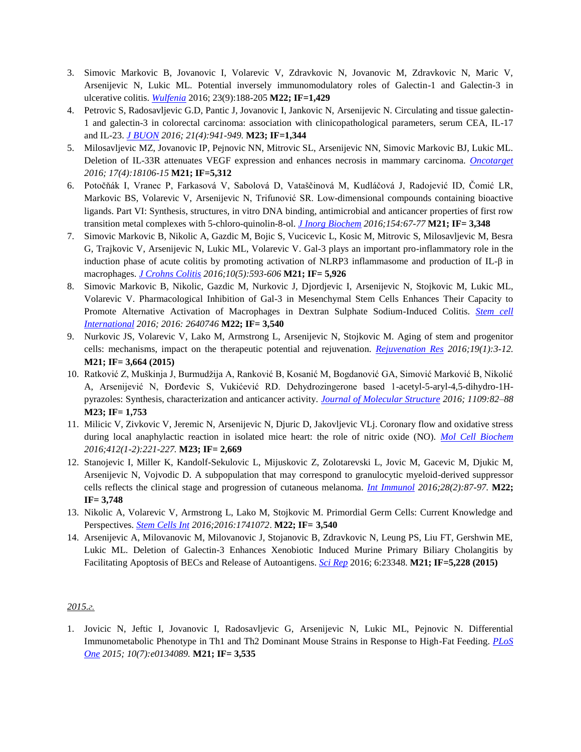- 3. Simovic Markovic B, Jovanovic I, Volarevic V, Zdravkovic N, Jovanovic M, Zdravkovic N, Maric V, Arsenijevic N, Lukic ML. Potential inversely immunomodulatory roles of Galectin-1 and Galectin-3 in ulcerative colitis. *[Wulfenia](file:///C:/Users/Nebojsa/Downloads/M20/2016/3%20M22.pdf)* 2016; 23(9):188-205 **M22; IF=1,429**
- 4. Petrovic S, Radosavljevic G.D, Pantic J, Jovanovic I, Jankovic N, Arsenijevic N. Circulating and tissue galectin-1 and galectin-3 in colorectal carcinoma: association with clinicopathological parameters, serum CEA, IL-17 and IL-23. *[J BUON](file:///C:/Users/Nebojsa/Downloads/M20/2016/4%20M23.pdf) 2016; 21(4):941-949.* **M23; IF=1,344**
- 5. Milosavljevic MZ, Jovanovic IP, Pejnovic NN, Mitrovic SL, Arsenijevic NN, Simovic Markovic BJ, Lukic ML. Deletion of IL-33R attenuates VEGF expression and enhances necrosis in mammary carcinoma. *[Oncotarget](file:///C:/Users/Nebojsa/Downloads/M20/2016/5%20M21.pdf) 2016; 17(4):18106-15* **M21; IF=5,312**
- 6. Potočňák I, Vranec P, Farkasová V, Sabolová D, Vataščinová M, Kudláčová J, Radojević ID, Čomić LR, Markovic BS, Volarevic V, Arsenijevic N, Trifunović SR. Low-dimensional compounds containing bioactive ligands. Part VI: Synthesis, structures, in vitro DNA binding, antimicrobial and anticancer properties of first row transition metal complexes with 5-chloro-quinolin-8-ol. *[J Inorg Biochem](file:///C:/Users/Nebojsa/Downloads/M20/2016/6%20M21.pdf) 2016;154:67-77* **M21; IF= 3,348**
- 7. Simovic Markovic B, Nikolic A, Gazdic M, Bojic S, Vucicevic L, Kosic M, Mitrovic S, Milosavljevic M, Besra G, Trajkovic V, Arsenijevic N, Lukic ML, Volarevic V. Gal-3 plays an important pro-inflammatory role in the induction phase of acute colitis by promoting activation of NLRP3 inflammasome and production of IL-β in macrophages. *[J Crohns Colitis](file:///C:/Users/Nebojsa/Downloads/M20/2016/7%20M21.pdf) 2016;10(5):593-606* **M21; IF= 5,926**
- 8. Simovic Markovic B, Nikolic, Gazdic M, Nurkovic J, Djordjevic I, Arsenijevic N, Stojkovic M, Lukic ML, Volarevic V. Pharmacological Inhibition of Gal-3 in Mesenchymal Stem Cells Enhances Their Capacity to Promote Alternative Activation of Macrophages in Dextran Sulphate Sodium-Induced Colitis. *[Stem cell](file:///C:/Users/Nebojsa/Downloads/M20/2016/8%20M22.pdf)  [International](file:///C:/Users/Nebojsa/Downloads/M20/2016/8%20M22.pdf) 2016; 2016: 2640746* **M22; IF= 3,540**
- 9. Nurkovic JS, Volarevic V, Lako M, Armstrong L, Arsenijevic N, Stojkovic M. Aging of stem and progenitor cells: mechanisms, impact on the therapeutic potential and rejuvenation. *[Rejuvenation Res](file:///C:/Users/Nebojsa/Downloads/M20/2016/9%20M21.pdf) 2016;19(1):3-12.*  **M21; IF= 3,664 (2015)**
- 10. Ratković Z, Muškinjа J, Burmudžija A, Ranković B, Kosanić M, Bogdanović GA, Simović Marković B, Nikolić A, Arsenijević N, Đorđevic S, Vukićević RD. Dehydrozingerone based 1-acetyl-5-aryl-4,5-dihydro-1Hpyrazoles: Synthesis, characterization and anticancer activity. *[Journal of Molecular Structure](file:///C:/Users/Nebojsa/Downloads/M20/2016/10%20M23.pdf) 2016; 1109:82–88* **M23; IF= 1,753**
- 11. Milicic V, Zivkovic V, Jeremic N, Arsenijevic N, Djuric D, Jakovljevic VLj. Coronary flow and oxidative stress during local anaphylactic reaction in isolated mice heart: the role of nitric oxide (NO). *[Mol Cell Biochem](file:///C:/Users/Nebojsa/Downloads/M20/2016/11%20M23.pdf) 2016;412(1-2):221-227.* **M23; IF= 2,669**
- 12. Stanojevic I, Miller K, Kandolf-Sekulovic L, Mijuskovic Z, Zolotarevski L, Jovic M, Gacevic M, Djukic M, Arsenijevic N, Vojvodic D. A subpopulation that may correspond to granulocytic myeloid-derived suppressor cells reflects the clinical stage and progression of cutaneous melanoma. *[Int Immunol](file:///C:/Users/Nebojsa/Downloads/M20/2016/12%20M22.pdf) 2016;28(2):87-97.* **M22; IF= 3,748**
- 13. Nikolic A, Volarevic V, Armstrong L, Lako M, Stojkovic M. Primordial Germ Cells: Current Knowledge and Perspectives. *[Stem Cells Int](file:///C:/Users/Nebojsa/Downloads/M20/2016/13%20M22.pdf) 2016;2016:1741072*. **M22; IF= 3,540**
- 14. Arsenijevic A, Milovanovic M, Milovanovic J, Stojanovic B, Zdravkovic N, Leung PS, Liu FT, Gershwin ME, Lukic ML. Deletion of Galectin-3 Enhances Xenobiotic Induced Murine Primary Biliary Cholangitis by Facilitating Apoptosis of BECs and Release of Autoantigens. *[Sci Rep](file:///C:/Users/Nebojsa/Downloads/M20/2016/14M21.pdf)* 2016; 6:23348. **M21; IF=5,228 (2015)**

1. Jovicic N, Jeftic I, Jovanovic I, Radosavljevic G, Arsenijevic N, Lukic ML, Pejnovic N. Differential Immunometabolic Phenotype in Th1 and Th2 Dominant Mouse Strains in Response to High-Fat Feeding. *[PLoS](file:///C:/Users/Nebojsa/Downloads/M20/2015/1%20M21.pdf)  [One](file:///C:/Users/Nebojsa/Downloads/M20/2015/1%20M21.pdf) 2015; 10(7):e0134089.* **M21; IF= 3,535**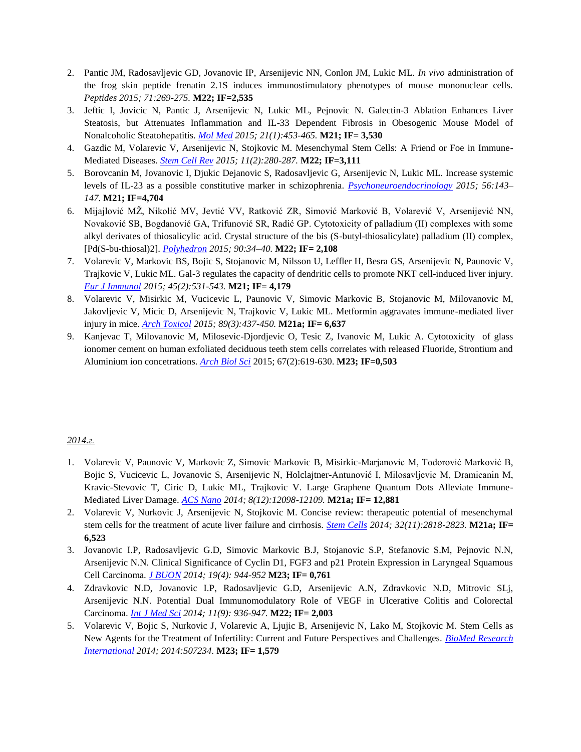- 2. Pantic JM, Radosavljevic GD, Jovanovic IP, Arsenijevic NN, Conlon JM, Lukic ML. *In vivo* administration of the frog skin peptide frenatin 2.1S induces immunostimulatory phenotypes of mouse mononuclear cells. *Peptides 2015; 71:269-275.* **M22; IF=2,535**
- 3. Jeftic I, Jovicic N, Pantic J, Arsenijevic N, Lukic ML, Pejnovic N. Galectin-3 Ablation Enhances Liver Steatosis, but Attenuates Inflammation and IL-33 Dependent Fibrosis in Obesogenic Mouse Model of Nonalcoholic Steatohepatitis. *[Mol Med](file:///C:/Users/Nebojsa/Downloads/M20/2015/3%20M21.pdf) 2015; 21(1):453-465.* **M21; IF= 3,530**
- 4. Gazdic M, Volarevic V, Arsenijevic N, Stojkovic M. Mesenchymal Stem Cells: A Friend or Foe in Immune-Mediated Diseases. *[Stem Cell Rev](file:///C:/Users/Nebojsa/Downloads/M20/2015/4%20M22.pdf) 2015; 11(2):280-287.* **M22; IF=3,111**
- 5. Borovcanin M, Jovanovic I, Djukic Dejanovic S, Radosavljevic G, Arsenijevic N, Lukic ML. Increase systemic levels of IL-23 as a possible constitutive marker in schizophrenia. *[Psychoneuroendocrinology](file:///C:/Users/Nebojsa/Downloads/M20/2015/5%20M21.pdf) 2015; 56:143– 147.* **M21; IF=4,704**
- 6. Mijajlović MŽ, Nikolić MV, Jevtić VV, Ratković ZR, Simović Marković B, Volarević V, Arsenijević NN, Novaković SB, Bogdanović GA, Trifunović SR, Radić GP. Cytotoxicity of palladium (II) complexes with some alkyl derivates of thiosalicylic acid. Crystal structure of the bis (S-butyl-thiosalicylate) palladium (II) complex, [Pd(S-bu-thiosal)2]. *[Polyhedron](file:///C:/Users/Nebojsa/Downloads/M20/2015/6%20M22.pdf) 2015; 90:34–40.* **M22; IF= 2,108**
- 7. Volarevic V, Markovic BS, Bojic S, Stojanovic M, Nilsson U, Leffler H, Besra GS, Arsenijevic N, Paunovic V, Trajkovic V, Lukic ML. Gal-3 regulates the capacity of dendritic cells to promote NKT cell-induced liver injury. *[Eur J Immunol](file:///C:/Users/Nebojsa/Downloads/M20/2015/7%20M21.pdf) 2015; 45(2):531-543.* **M21; IF= 4,179**
- 8. Volarevic V, Misirkic M, Vucicevic L, Paunovic V, Simovic Markovic B, Stojanovic M, Milovanovic M, Jakovljevic V, Micic D, Arsenijevic N, Trajkovic V, Lukic ML. Metformin aggravates immune-mediated liver injury in mice. *[Arch Toxicol](file:///C:/Users/Nebojsa/Downloads/M20/2015/8%20M21.pdf) 2015; 89(3):437-450.* **M21a; IF= 6,637**
- 9. Kanjevac T, Milovanovic M, Milosevic-Djordjevic O, Tesic Z, Ivanovic M, Lukic A. Cytotoxicity of glass ionomer cement on human exfoliated deciduous teeth stem cells correlates with released Fluoride, Strontium and Aluminium ion concetrations. *[Arch Biol Sci](file:///C:/Users/Nebojsa/Downloads/M20/2015/9%20M23.pdf)* 2015; 67(2):619-630. **M23; IF=0,503**

- 1. Volarevic V, Paunovic V, Markovic Z, Simovic Markovic B, Misirkic-Marjanovic M, Todorović Marković B, Bojic S, Vucicevic L, Jovanovic S, Arsenijevic N, Holclajtner-Antunović I, Milosavljevic M, Dramicanin M, Kravic-Stevovic T, Ciric D, Lukic ML, Trajkovic V. Large Graphene Quantum Dots Alleviate Immune-Mediated Liver Damage. *[ACS Nano](file:///C:/Users/Nebojsa/Downloads/M20/2014/1%20M21.pdf) 2014; 8(12):12098-12109.* **M21a; IF= 12,881**
- 2. Volarevic V, Nurkovic J, Arsenijevic N, Stojkovic M. Concise review: therapeutic potential of mesenchymal stem cells for the treatment of acute liver failure and cirrhosis. *[Stem Cells](file:///C:/Users/Nebojsa/Downloads/M20/2014/2%20M21.pdf) 2014; 32(11):2818-2823.* **M21a; IF= 6,523**
- 3. Jovanovic I.P, Radosavljevic G.D, Simovic Markovic B.J, Stojanovic S.P, Stefanovic S.M, Pejnovic N.N, Arsenijevic N.N. Clinical Significance of Cyclin D1, FGF3 and p21 Protein Expression in Laryngeal Squamous Cell Carcinoma. *[J BUON](file:///C:/Users/Nebojsa/Downloads/M20/2014/3%20M23.pdf) 2014; 19(4): 944-952* **M23; IF= 0,761**
- 4. Zdravkovic N.D, Jovanovic I.P, Radosavljevic G.D, Arsenijevic A.N, Zdravkovic N.D, Mitrovic SLj, Arsenijevic N.N. Potential Dual Immunomodulatory Role of VEGF in Ulcerative Colitis and Colorectal Carcinoma. *Int [J Med Sci](file:///C:/Users/Nebojsa/Downloads/M20/2014/4%20M22.pdf) 2014; 11(9): 936-947.* **M22; IF= 2,003**
- 5. Volarevic V, Bojic S, Nurkovic J, Volarevic A, Ljujic B, Arsenijevic N, Lako M, Stojkovic M. Stem Cells as New Agents for the Treatment of Infertility: Current and Future Perspectives and Challenges. *[BioMed Research](file:///C:/Users/Nebojsa/Downloads/M20/2014/5%20M23.pdf)  [International](file:///C:/Users/Nebojsa/Downloads/M20/2014/5%20M23.pdf) 2014; 2014:507234.* **M23; IF= 1,579**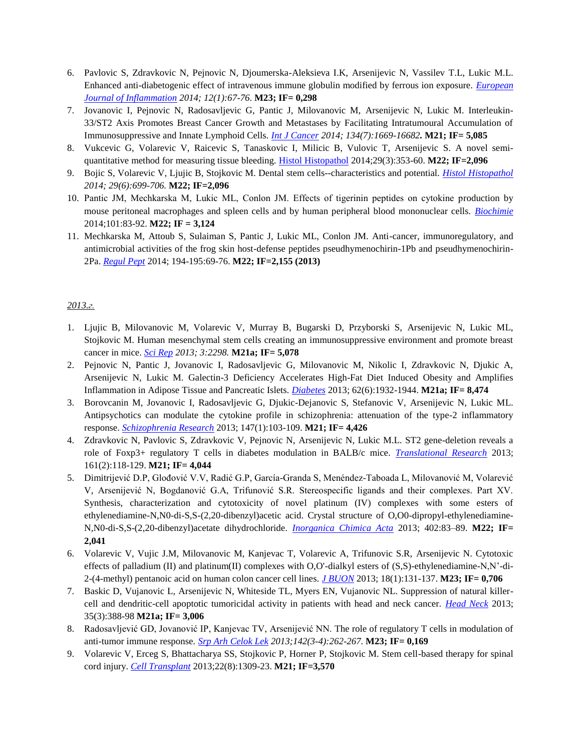- 6. Pavlovic S, Zdravkovic N, Pejnovic N, Djoumerska-Aleksieva I.K, Arsenijevic N, Vassilev T.L, Lukic M.L. Enhanced anti-diabetogenic effect of intravenous immune globulin modified by ferrous ion exposure. *[European](file:///C:/Users/Nebojsa/Downloads/M20/2014/6%20M23.pdf)  [Journal of Inflammation](file:///C:/Users/Nebojsa/Downloads/M20/2014/6%20M23.pdf) 2014; 12(1):67-76*. **M23; IF= 0,298**
- 7. Jovanovic I, Pejnovic N, Radosavljevic G, Pantic J, Milovanovic M, Arsenijevic N, Lukic M. Interleukin-33/ST2 Axis Promotes Breast Cancer Growth and Metastases by Facilitating Intratumoural Accumulation of Immunosuppressive and Innate Lymphoid Cells. *[Int J Cancer](file:///C:/Users/Nebojsa/Downloads/M20/2014/7%20M21.pdf) 2014; 134(7):1669-16682.* **M21; IF= 5,085**
- 8. Vukcevic G, Volarevic V, Raicevic S, Tanaskovic I, Milicic B, Vulovic T, Arsenijevic S. A novel semiquantitative method for measuring tissue bleeding. [Histol Histopathol](file:///C:/Users/Nebojsa/Downloads/M20/2014/8%20M22.pdf) 2014;29(3):353-60. **M22; IF=2,096**
- 9. Bojic S, Volarevic V, Ljujic B, Stojkovic M. Dental stem cells--characteristics and potential. *[Histol Histopathol](file:///C:/Users/Nebojsa/Downloads/M20/2014/9%20M22.pdf) 2014; 29(6):699-706.* **M22; IF=2,096**
- 10. Pantic ЈМ, Mechkarska М, Lukic МL, Conlon JM. Effects of tigerinin peptides on cytokine production by mouse peritoneal macrophages and spleen cells and by human peripheral blood mononuclear cells. *[Biochimie](file:///C:/Users/Nebojsa/Downloads/M20/2014/10%20M22.pdf)* 2014;101:83-92. **M22; IF = 3,124**
- 11. Mechkarska M, Attoub S, Sulaiman S, Pantic J, Lukic ML, Conlon JM. Anti-cancer, immunoregulatory, and antimicrobial activities of the frog skin host-defense peptides pseudhymenochirin-1Pb and pseudhymenochirin-2Pa. *[Regul Pept](file:///C:/Users/Nebojsa/Downloads/M20/2014/11%20M22.pdf)* 2014; 194-195:69-76. **M22; IF=2,155 (2013)**

- 1. Ljujic B, Milovanovic M, Volarevic V, Murray B, Bugarski D, Przyborski S, Arsenijevic N, Lukic ML, Stojkovic M. Human mesenchymal stem cells creating an immunosuppressive environment and promote breast cancer in mice. *[Sci Rep](file:///C:/Users/Nebojsa/Downloads/M20/2013/1%20M21.pdf) 2013; 3:2298.* **M21a; IF= 5,078**
- 2. Pejnovic N, Pantic J, Jovanovic I, Radosavljevic G, Milovanovic M, Nikolic I, Zdravkovic N, Djukic A, Arsenijevic N, Lukic M. Galectin-3 Deficiency Accelerates High-Fat Diet Induced Obesity and Amplifies Inflammation in Adipose Tissue and Pancreatic Islets. *[Diabetes](file:///C:/Users/Nebojsa/Downloads/M20/2013/2%20M21.pdf)* 2013; 62(6):1932-1944. **M21a; IF= 8,474**
- 3. Borovcanin M, Jovanovic I, Radosavljevic G, Djukic-Dejanovic S, Stefanovic V, Arsenijevic N, Lukic ML. Antipsychotics can modulate the cytokine profile in schizophrenia: attenuation of the type-2 inflammatory response. *[Schizophrenia Research](file:///C:/Users/Nebojsa/Downloads/M20/2013/3%20M21.pdf)* 2013; 147(1):103-109. **M21; IF= 4,426**
- 4. Zdravkovic N, Pavlovic S, Zdravkovic V, Pejnovic N, Arsenijevic N, Lukic M.L. ST2 gene-deletion reveals a role of Foxp3+ regulatory T cells in diabetes modulation in BALB/c mice. *[Translational Research](file:///C:/Users/Nebojsa/Downloads/M20/2013/4%20M21.pdf)* 2013; 161(2):118-129. **M21; IF= 4,044**
- 5. Dimitrijević D.P, Glođović V.V, Radić G.P, García-Granda S, Menéndez-Taboada L, Milovanović M, Volarević V, Arsenijević N, Bogdanović G.A, Trifunović S.R. Stereospecific ligands and their complexes. Part XV. Synthesis, characterization and cytotoxicity of novel platinum (IV) complexes with some esters of ethylenediamine-N,N0-di-S,S-(2,20-dibenzyl)acetic acid. Crystal structure of O,O0-dipropyl-ethylenediamine-N,N0-di-S,S-(2,20-dibenzyl)acetate dihydrochloride. *[Inorganica Chimica Acta](file:///C:/Users/Nebojsa/Downloads/M20/2013/5%20M22.pdf)* 2013; 402:83–89. **M22; IF= 2,041**
- 6. Volarevic V, Vujic J.M, Milovanovic M, Kanjevac T, Volarevic A, Trifunovic S.R, Arsenijevic N. Cytotoxic effects of palladium (II) and platinum(II) complexes with O,O'-dialkyl esters of (S,S)-ethylenediamine-N,N'-di-2-(4-methyl) pentanoic acid on human colon cancer cell lines. *[J BUON](file:///C:/Users/Nebojsa/Downloads/M20/2013/6%20M23.pdf)* 2013; 18(1):131-137. **M23; IF= 0,706**
- 7. Baskic D, Vujanovic L, Arsenijevic N, Whiteside TL, Myers EN, Vujanovic NL. Suppression of natural killercell and dendritic-cell apoptotic tumoricidal activity in patients with head and neck cancer. *[Head Neck](file:///C:/Users/Nebojsa/Downloads/M20/2013/7%20M21.pdf)* 2013; 35(3):388-98 **M21a; IF= 3,006**
- 8. Radosavljević GD, Jovanović IP, Kanjevac TV, Arsenijević NN. The role of regulatory T cells in modulation of anti-tumor immune response. *[Srp Arh Celok Lek](file:///C:/Users/Nebojsa/Downloads/M20/2013/8%20M23.pdf) 2013;142(3-4):262-267.* **M23; IF= 0,169**
- 9. Volarevic V, Erceg S, Bhattacharya SS, Stojkovic P, Horner P, Stojkovic M. Stem cell-based therapy for spinal cord injury. *[Cell Transplant](file:///C:/Users/Nebojsa/Downloads/M20/2013/9%20M21.pdf)* 2013;22(8):1309-23. **M21; IF=3,570**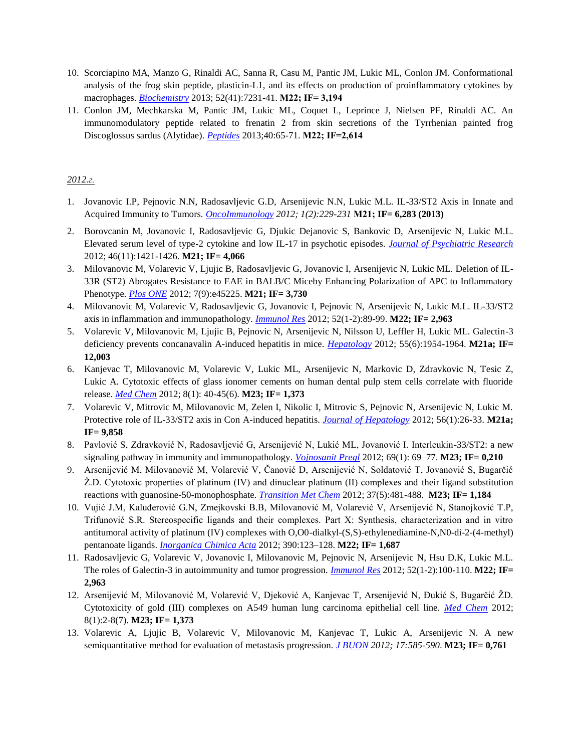- 10. Scorciapino MA, Manzo G, Rinaldi AC, Sanna R, Casu M, Pantic JM, Lukic ML, Conlon JM. Conformational analysis of the frog skin peptide, plasticin-L1, and its effects on production of proinflammatory cytokines by macrophages. *[Biochemistry](file:///C:/Users/Nebojsa/Downloads/M20/2013/10%20M22.pdf)* 2013; 52(41):7231-41. **М22; IF= 3,194**
- 11. Conlon JM, Mechkarska M, Pantic JM, Lukic ML, Coquet L, Leprince J, Nielsen PF, Rinaldi AC. An immunomodulatory peptide related to frenatin 2 from skin secretions of the Tyrrhenian painted frog Discoglossus sardus (Alytidae). *[Peptides](file:///C:/Users/Nebojsa/Downloads/M20/2013/11%20M22.pdf)* 2013;40:65-71. **М22; IF=2,614**

- 1. Jovanovic I.P, Pejnovic N.N, Radosavljevic G.D, Arsenijevic N.N, Lukic M.L. IL-33/ST2 Axis in Innate and Acquired Immunity to Tumors. *[OncoImmunology](file:///C:/Users/Nebojsa/Downloads/M20/2012/1%20M21.pdf) 2012; 1(2):229-231* **М21; IF= 6,283 (2013)**
- 2. Borovcanin M, Jovanovic I, Radosavljevic G, Djukic Dejanovic S, Bankovic D, Arsenijevic N, Lukic M.L. Elevated serum level of type-2 cytokine and low IL-17 in psychotic episodes. *[Journal of Psychiatric Research](file:///C:/Users/Nebojsa/Downloads/M20/2012/2%20M21.pdf)* 2012; 46(11):1421-1426. **M21; IF= 4,066**
- 3. Milovanovic M, Volarevic V, Ljujic B, Radosavljevic G, Jovanovic I, Arsenijevic N, Lukic ML. Deletion of IL-33R (ST2) Abrogates Resistance to EAE in BALB/C Miceby Enhancing Polarization of APC to Inflammatory Phenotype. *[Plos ONE](file:///C:/Users/Nebojsa/Downloads/M20/2012/3%20M21.pdf)* 2012; 7(9):e45225. **M21; IF= 3,730**
- 4. Milovanovic M, Volarevic V, Radosavljevic G, Jovanovic I, Pejnovic N, Arsenijevic N, Lukic M.L. IL-33/ST2 axis in inflammation and immunopathology. *[Immunol Res](file:///C:/Users/Nebojsa/Downloads/M20/2012/4%20M22.pdf)* 2012; 52(1-2):89-99. **M22; IF= 2,963**
- 5. Volarevic V, Milovanovic M, Ljujic B, Pejnovic N, Arsenijevic N, Nilsson U, Leffler H, Lukic ML. Galectin-3 deficiency prevents concanavalin A-induced hepatitis in mice. *[Hepatology](file:///C:/Users/Nebojsa/Downloads/M20/2012/5%20M21.pdf)* 2012; 55(6):1954-1964. **M21a; IF= 12,003**
- 6. Kanjevac T, Milovanovic M, Volarevic V, Lukic ML, Arsenijevic N, Markovic D, Zdravkovic N, Tesic Z, Lukic A. Cytotoxic effects of glass ionomer cements on human dental pulp stem cells correlate with fluoride release. *[Med Chem](file:///C:/Users/Nebojsa/Downloads/M20/2012/6%20M23.pdf)* 2012; 8(1): 40-45(6). **M23; IF= 1,373**
- 7. Volarevic V, Mitrovic M, Milovanovic M, Zelen I, Nikolic I, Mitrovic S, Pejnovic N, Arsenijevic N, Lukic M. Protective role of IL-33/ST2 axis in Con A-induced hepatitis. *[Journal of Hepatology](file:///C:/Users/Nebojsa/Downloads/M20/2012/7%20M21.pdf)* 2012; 56(1):26-33. **M21a; IF= 9,858**
- 8. Pavlović S, Zdravković N, Radosavljević G, Arsenijević N, Lukić ML, Jovanović I. Interleukin-33/ST2: a new signaling pathway in immunity and immunopathology. *[Vojnosanit Pregl](file:///C:/Users/Nebojsa/Downloads/M20/2012/8%20M23.pdf)* 2012; 69(1): 69–77. **M23; IF=**  $0,210$
- 9. Arsenijević M, Milovanović M, Volarević V, Čanović D, Arsenijević N, Soldatović T, Jovanović S, Bugarčić Ž.D. Cytotoxic properties of platinum (IV) and dinuclear platinum (II) complexes and their ligand substitution reactions with guanosine-50-monophosphate. *[Transition Met Chem](file:///C:/Users/Nebojsa/Downloads/M20/2012/9%20M23.pdf)* 2012; 37(5):481-488. **M23; IF= 1,184**
- 10. Vujić J.M, KaluĎerović G.N, Zmejkovski B.B, Milovanović M, Volarević V, Arsenijević N, Stanojković T.P, Trifunović S.R. Stereospecific ligands and their complexes. Part X: Synthesis, characterization and in vitro antitumoral activity of platinum (IV) complexes with O,O0-dialkyl-(S,S)-ethylenediamine-N,N0-di-2-(4-methyl) pentanoate ligands. *[Inorganica Chimica Acta](file:///C:/Users/Nebojsa/Downloads/M20/2012/10%20M22.pdf)* 2012; 390:123–128. **M22; IF= 1,687**
- 11. Radosavljevic G, Volarevic V, Jovanovic I, Milovanovic M, Pejnovic N, Arsenijevic N, Hsu D.K, Lukic M.L. The roles of Galectin-3 in autoimmunity and tumor progression. *[Immunol Res](file:///C:/Users/Nebojsa/Downloads/M20/2012/11%20M22.pdf)* 2012; 52(1-2):100-110. **M22; IF= 2,963**
- 12. Arsenijević M, Milovanović M, Volarević V, Djeković A, Kanjevac T, Arsenijević N, Đukić S, Bugarčić ŽD. Cytotoxicity of gold (III) complexes on A549 human lung carcinoma epithelial cell line. *[Med Chem](file:///C:/Users/Nebojsa/Downloads/M20/2012/12%20M23.pdf)* 2012; 8(1):2-8(7). **M23; IF= 1,373**
- 13. Volarevic A, Ljujic B, Volarevic V, Milovanovic M, Kanjevac T, Lukic A, Arsenijevic N. A new semiquantitative method for evaluation of metastasis progression. *[J BUON](file:///C:/Users/Nebojsa/Downloads/M20/2012/13%20M23.pdf) 2012; 17:585-590*. **M23; IF= 0,761**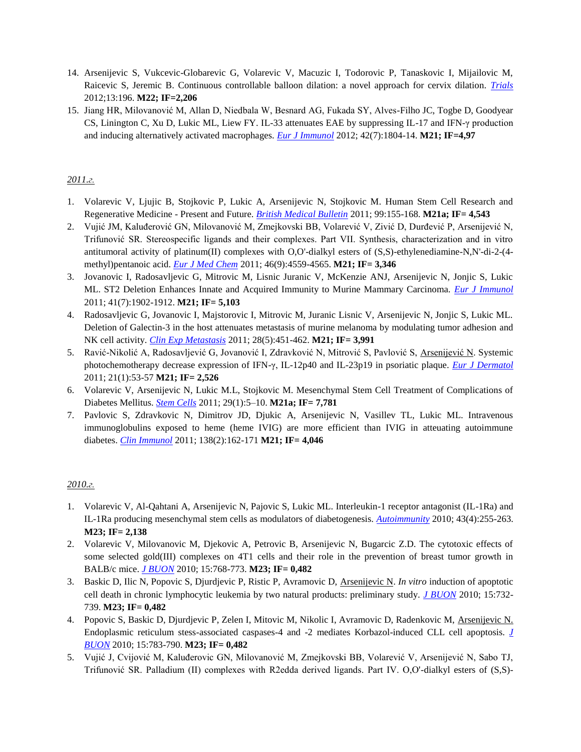- 14. Arsenijevic S, Vukcevic-Globarevic G, Volarevic V, Macuzic I, Todorovic P, Tanaskovic I, Mijailovic M, Raicevic S, Jeremic B. Continuous controllable balloon dilation: a novel approach for cervix dilation. *[Trials](file:///C:/Users/Nebojsa/Downloads/M20/2012/14%20M22.pdf)* 2012;13:196. **M22; IF=2,206**
- 15. Jiang HR, Milovanović M, Allan D, Niedbala W, Besnard AG, Fukada SY, Alves-Filho JC, Togbe D, Goodyear CS, Linington C, Xu D, Lukic ML, Liew FY. IL-33 attenuates EAE by suppressing IL-17 and IFN-γ production and inducing alternatively activated macrophages. *[Eur J Immunol](file:///C:/Users/Nebojsa/Downloads/M20/2012/15%20M21.pdf)* 2012; 42(7):1804-14. **M21; IF=4,97**

- 1. Volarevic V, Ljujic B, Stojkovic P, Lukic A, Arsenijevic N, Stojkovic M. Human Stem Cell Research and Regenerative Medicine - Present and Future. *[British Medical Bulletin](file:///C:/Users/Nebojsa/Downloads/M20/2011/1%20M21.pdf)* 2011; 99:155-168. **M21a; IF= 4,543**
- 2. Vujić JM, Kaluđerović GN, Milovanović M, Zmejkovski BB, Volarević V, Zivić D, Durđević P, Arsenijević N, Trifunović SR. Stereospecific ligands and their complexes. Part VII. Synthesis, characterization and in vitro antitumoral activity of platinum(II) complexes with O,O'-dialkyl esters of (S,S)-ethylenediamine-N,N'-di-2-(4 methyl)pentanoic acid. *[Eur J Med Chem](file:///C:/Users/Nebojsa/Downloads/M20/2011/2%20M21.pdf)* 2011; 46(9):4559-4565. **M21; IF= 3,346**
- 3. Jovanovic I, Radosavljevic G, Mitrovic M, Lisnic Juranic V, McKenzie ANJ, Arsenijevic N, Jonjic S, Lukic ML. ST2 Deletion Enhances Innate and Acquired Immunity to Murine Mammary Carcinoma. *[Eur J Immunol](file:///C:/Users/Nebojsa/Downloads/M20/2011/3%20M21.pdf)* 2011; 41(7):1902-1912. **M21; IF= 5,103**
- 4. Radosavljevic G, Jovanovic I, Majstorovic I, Mitrovic M, Juranic Lisnic V, Arsenijevic N, Jonjic S, Lukic ML. Deletion of Galectin-3 in the host attenuates metastasis of murine melanoma by modulating tumor adhesion and NK cell activity. *[Clin Exp Metastasis](file:///C:/Users/Nebojsa/Downloads/M20/2011/4%20M21.pdf)* 2011; 28(5):451-462. **M21; IF= 3,991**
- 5. Ravić-Nikolić A, Radosavljević G, Jovanović I, Zdravković N, Mitrović S, Pavlović S, Arsenijević N. Systemic photochemotherapy decrease expression of IFN-γ, IL-12p40 and IL-23p19 in psoriatic plaque. *[Eur J Dermatol](file:///C:/Users/Nebojsa/Downloads/M20/2011/5%20M21.pdf)* 2011; 21(1):53-57 **M21; IF= 2,526**
- 6. Volarevic V, Arsenijevic N, Lukic M.L, Stojkovic M. Mesenchymal Stem Cell Treatment of Complications of Diabetes Mellitus. *[Stem Cells](file:///C:/Users/Nebojsa/Downloads/M20/2011/6%20M21.pdf)* 2011; 29(1):5–10. **M21a; IF= 7,781**
- 7. Pavlovic S, Zdravkovic N, Dimitrov JD, Djukic A, Arsenijevic N, Vasillev TL, Lukic ML. Intravenous immunoglobulins exposed to heme (heme IVIG) are more efficient than IVIG in atteuating autoimmune diabetes. *[Clin Immunol](file:///C:/Users/Nebojsa/Downloads/M20/2011/7%20M21.pdf)* 2011; 138(2):162-171 **M21; IF= 4,046**

- 1. Volarevic V, Al-Qahtani A, Arsenijevic N, Pajovic S, Lukic ML. Interleukin-1 receptor antagonist (IL-1Ra) and IL-1Ra producing mesenchymal stem cells as modulators of diabetogenesis. *[Autoimmunity](file:///C:/Users/Nebojsa/Downloads/M20/2010/1%20M23.pdf)* 2010; 43(4):255-263. **M23; IF= 2,138**
- 2. Volarevic V, Milovanovic M, Djekovic A, Petrovic B, Arsenijevic N, Bugarcic Z.D. The cytotoxic effects of some selected gold(III) complexes on 4T1 cells and their role in the prevention of breast tumor growth in BALB/c mice. *[J BUON](file:///C:/Users/Nebojsa/Downloads/M20/2010/2%20M23.pdf)* 2010; 15:768-773. **M23; IF= 0,482**
- 3. Baskic D, Ilic N, Popovic S, Djurdjevic P, Ristic P, Avramovic D, Arsenijevic N. *In vitro* induction of apoptotic cell death in chronic lymphocytic leukemia by two natural products: preliminary study. *[J BUON](file:///C:/Users/Nebojsa/Downloads/M20/2010/3%20M23.pdf)* 2010; 15:732- 739. **M23; IF= 0,482**
- 4. Popovic S, Baskic D, Djurdjevic P, Zelen I, Mitovic M, Nikolic I, Avramovic D, Radenkovic M, Arsenijevic N. Endoplasmic reticulum stess-associated caspases-4 and -2 mediates Korbazol-induced CLL cell apoptosis. *[J](file:///C:/Users/Nebojsa/Downloads/M20/2010/4%20M23.pdf)  [BUON](file:///C:/Users/Nebojsa/Downloads/M20/2010/4%20M23.pdf)* 2010; 15:783-790. **M23; IF= 0,482**
- 5. Vujić J, Cvijović M, Kaluđerovic GN, Milovanović M, Zmejkovski BB, Volarević V, Arsenijević N, Sabo TJ, Trifunović SR. Palladium (II) complexes with R2edda derived ligands. Part IV. O,O'-dialkyl esters of (S,S)-